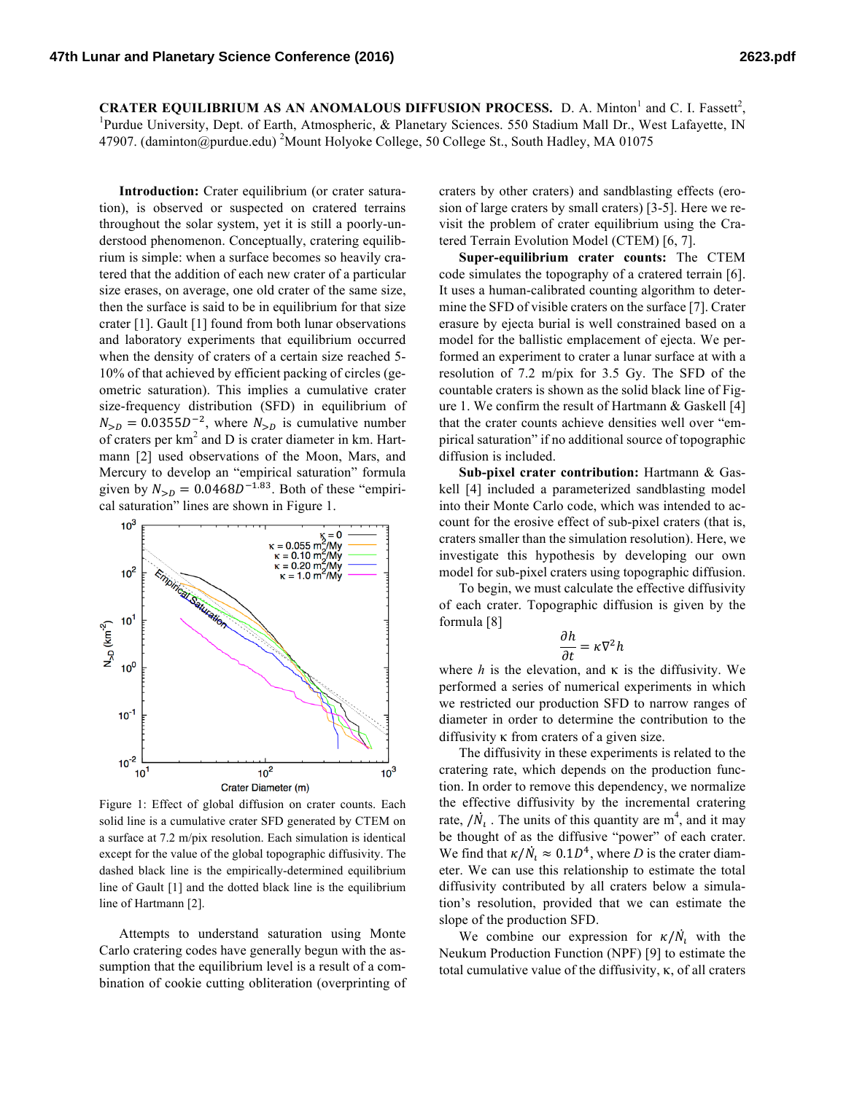**CRATER EQUILIBRIUM AS AN ANOMALOUS DIFFUSION PROCESS.** D. A. Minton<sup>1</sup> and C. I. Fassett<sup>2</sup>,  $^{1}_{\text{Burdue}}$  Directive Linitians University. Dant of Earth, Atmospheric, & Blanctary Sciences, 550 Stadium Mall Dr. West Lafourt <sup>1</sup>Purdue University, Dept. of Earth, Atmospheric, & Planetary Sciences. 550 Stadium Mall Dr., West Lafayette, IN 47907. (daminton@purdue.edu) <sup>2</sup>Mount Holyoke College, 50 College St., South Hadley, MA 01075

**Introduction:** Crater equilibrium (or crater saturation), is observed or suspected on cratered terrains throughout the solar system, yet it is still a poorly-understood phenomenon. Conceptually, cratering equilibrium is simple: when a surface becomes so heavily cratered that the addition of each new crater of a particular size erases, on average, one old crater of the same size, then the surface is said to be in equilibrium for that size crater [1]. Gault [1] found from both lunar observations and laboratory experiments that equilibrium occurred when the density of craters of a certain size reached 5- 10% of that achieved by efficient packing of circles (geometric saturation). This implies a cumulative crater size-frequency distribution (SFD) in equilibrium of  $N_{> D} = 0.0355D^{-2}$ , where  $N_{> D}$  is cumulative number of craters per  $km<sup>2</sup>$  and D is crater diameter in km. Hartmann [2] used observations of the Moon, Mars, and Mercury to develop an "empirical saturation" formula given by  $N_{> D} = 0.0468D^{-1.83}$ . Both of these "empirical saturation" lines are shown in Figure 1.



Figure 1: Effect of global diffusion on crater counts. Each solid line is a cumulative crater SFD generated by CTEM on a surface at 7.2 m/pix resolution. Each simulation is identical except for the value of the global topographic diffusivity. The dashed black line is the empirically-determined equilibrium line of Gault [1] and the dotted black line is the equilibrium line of Hartmann [2].

Attempts to understand saturation using Monte Carlo cratering codes have generally begun with the assumption that the equilibrium level is a result of a combination of cookie cutting obliteration (overprinting of craters by other craters) and sandblasting effects (erosion of large craters by small craters) [3-5]. Here we revisit the problem of crater equilibrium using the Cratered Terrain Evolution Model (CTEM) [6, 7].

**Super-equilibrium crater counts:** The CTEM code simulates the topography of a cratered terrain [6]. It uses a human-calibrated counting algorithm to determine the SFD of visible craters on the surface [7]. Crater erasure by ejecta burial is well constrained based on a model for the ballistic emplacement of ejecta. We performed an experiment to crater a lunar surface at with a resolution of 7.2 m/pix for 3.5 Gy. The SFD of the countable craters is shown as the solid black line of Figure 1. We confirm the result of Hartmann & Gaskell [4] that the crater counts achieve densities well over "empirical saturation" if no additional source of topographic diffusion is included.

**Sub-pixel crater contribution:** Hartmann & Gaskell [4] included a parameterized sandblasting model into their Monte Carlo code, which was intended to account for the erosive effect of sub-pixel craters (that is, craters smaller than the simulation resolution). Here, we investigate this hypothesis by developing our own model for sub-pixel craters using topographic diffusion.

To begin, we must calculate the effective diffusivity of each crater. Topographic diffusion is given by the formula [8]

$$
\frac{\partial h}{\partial t} = \kappa \nabla^2 h
$$

where  $h$  is the elevation, and  $\kappa$  is the diffusivity. We performed a series of numerical experiments in which we restricted our production SFD to narrow ranges of diameter in order to determine the contribution to the diffusivity κ from craters of a given size.

The diffusivity in these experiments is related to the cratering rate, which depends on the production function. In order to remove this dependency, we normalize the effective diffusivity by the incremental cratering rate,  $/N_l$ . The units of this quantity are m<sup>4</sup>, and it may be thought of as the diffusive "power" of each crater. We find that  $\kappa/N_i \approx 0.1D^4$ , where *D* is the crater diameter. We can use this relationship to estimate the total diffusivity contributed by all craters below a simulation's resolution, provided that we can estimate the slope of the production SFD.

We combine our expression for  $\kappa/N_i$  with the Neukum Production Function (NPF) [9] to estimate the total cumulative value of the diffusivity, κ, of all craters